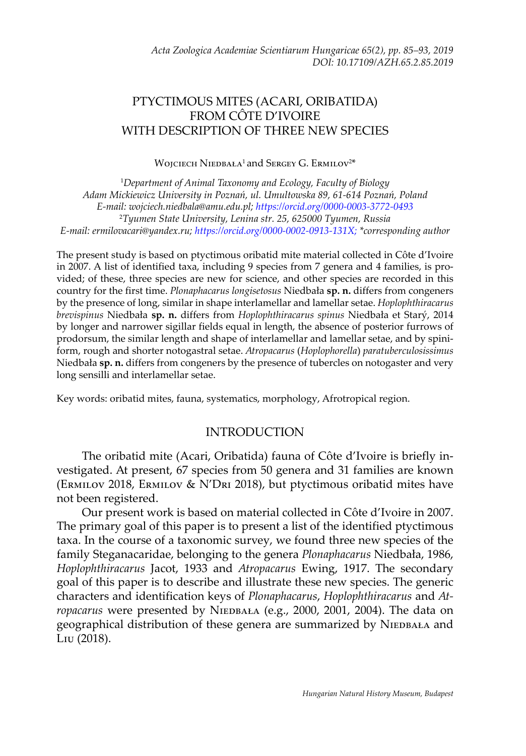## PTYCTIMOUS MITES (ACARI, ORIBATIDA) FROM CÔTE D'IVOIRE WITH DESCRIPTION OF THREE NEW SPECIES

Wojciech  $\mathrm{Niebbala}^1$  and Sergey G. Ermilov $^{2*}$ 

1 *Department of Animal Taxonomy and Ecology, Faculty of Biology Adam Mickiewicz University in Poznań, ul. Umultowska 89, 61-614 Poznań, Poland E-mail: wojciech.niedbala[@amu.edu.pl;](http://www.amu.edu.pl)<https://orcid.org/0000-0003-3772-0493>* 2 *Tyumen State University, Lenina str. 25, 625000 Tyumen, Russia E-mail: ermilovacari[@yandex.ru;](http://www.yandex.ru)<https://orcid.org/0000-0002-0913-131X>; \*corresponding author*

The present study is based on ptyctimous oribatid mite material collected in Côte d'Ivoire in 2007. A list of identified taxa, including 9 species from 7 genera and 4 families, is provided; of these, three species are new for science, and other species are recorded in this country for the first time. *Plonaphacarus longisetosus* Niedbała **sp. n.** differs from congeners by the presence of long, similar in shape interlamellar and lamellar setae. *Hoplophthiracarus brevispinus* Niedbała **sp. n.** differs from *Hoplophthiracarus spinus* Niedbała et Starý, 2014 by longer and narrower sigillar fields equal in length, the absence of posterior furrows of prodorsum, the similar length and shape of interlamellar and lamellar setae, and by spiniform, rough and shorter notogastral setae. *Atropacarus* (*Hoplophorella*) *paratuberculosissimus* Niedbała **sp. n.** differs from congeners by the presence of tubercles on notogaster and very long sensilli and interlamellar setae.

Key words: oribatid mites, fauna, systematics, morphology, Afrotropical region.

### INTRODUCTION

The oribatid mite (Acari, Oribatida) fauna of Côte d'Ivoire is briefly investigated. At present, 67 species from 50 genera and 31 families are known (Ermilov 2018, Ermilov & N'Dri 2018), but ptyctimous oribatid mites have not been registered.

Our present work is based on material collected in Côte d'Ivoire in 2007. The primary goal of this paper is to present a list of the identified ptyctimous taxa. In the course of a taxonomic survey, we found three new species of the family Steganacaridae, belonging to the genera *Plonaphacarus* Niedbała, 1986, *Hoplophthiracarus* Jacot, 1933 and *Atropacarus* Ewing, 1917. The secondary goal of this paper is to describe and illustrate these new species. The generic characters and identification keys of *Plonaphacarus*, *Hoplophthiracarus* and *At*ropacarus were presented by NIEDBAŁA (e.g., 2000, 2001, 2004). The data on geographical distribution of these genera are summarized by NIEDBAŁA and Liu (2018).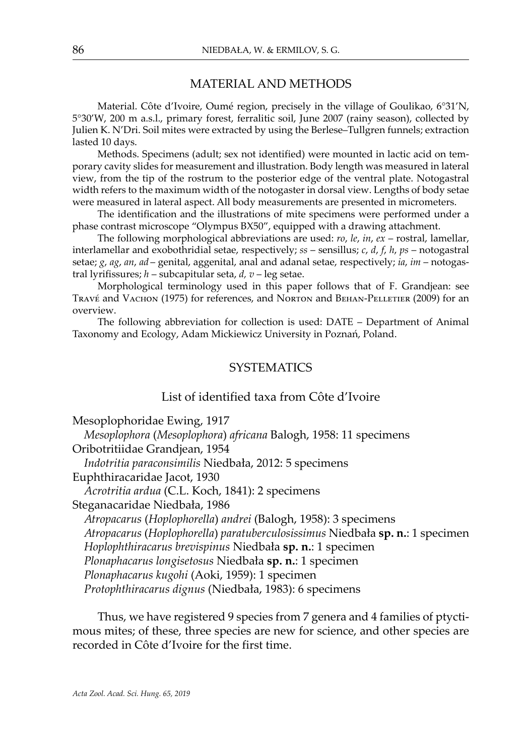#### MATERIAL AND METHODS

Material. Côte d'Ivoire, Oumé region, precisely in the village of Goulikao, 6°31'N, 5°30'W, 200 m a.s.l., primary forest, ferralitic soil, June 2007 (rainy season), collected by Julien K. N'Dri. Soil mites were extracted by using the Berlese–Tullgren funnels; extraction lasted 10 days.

Methods. Specimens (adult; sex not identified) were mounted in lactic acid on temporary cavity slides for measurement and illustration. Body length was measured in lateral view, from the tip of the rostrum to the posterior edge of the ventral plate. Notogastral width refers to the maximum width of the notogaster in dorsal view. Lengths of body setae were measured in lateral aspect. All body measurements are presented in micrometers.

The identification and the illustrations of mite specimens were performed under a phase contrast microscope "Olympus BX50", equipped with a drawing attachment.

The following morphological abbreviations are used: *ro*, *le*, *in*, *ex* – rostral, lamellar, interlamellar and exobothridial setae, respectively; *ss* – sensillus; *c*, *d*, *f*, *h*, *ps* – notogastral setae; *g*, *ag*, *an*, *ad* – genital, aggenital, anal and adanal setae, respectively; *ia*, *im* – notogastral lyrifissures; *h* – subcapitular seta, *d, v* – leg setae.

Morphological terminology used in this paper follows that of F. Grandjean: see Travé and Vachon (1975) for references, and Norton and Behan-Pelletier (2009) for an overview.

The following abbreviation for collection is used: DATE – Department of Animal Taxonomy and Ecology, Adam Mickiewicz University in Poznań, Poland.

### **SYSTEMATICS**

#### List of identified taxa from Côte d'Ivoire

Mesoplophoridae Ewing, 1917

 *Mesoplophora* (*Mesoplophora*) *africana* Balogh, 1958: 11 specimens Oribotritiidae Grandjean, 1954  *Indotritia paraconsimilis* Niedbała, 2012: 5 specimens Euphthiracaridae Jacot, 1930  *Acrotritia ardua* (C.L. Koch, 1841): 2 specimens

Steganacaridae Niedbała, 1986

 *Atropacarus* (*Hoplophorella*) *andrei* (Balogh, 1958): 3 specimens  *Atropacarus* (*Hoplophorella*) *paratuberculosissimus* Niedbała **sp. n.**: 1 specimen  *Hoplophthiracarus brevispinus* Niedbała **sp. n.**: 1 specimen  *Plonaphacarus longisetosus* Niedbała **sp. n.**: 1 specimen  *Plonaphacarus kugohi* (Aoki, 1959): 1 specimen  *Protophthiracarus dignus* (Niedbała, 1983): 6 specimens

Thus, we have registered 9 species from 7 genera and 4 families of ptyctimous mites; of these, three species are new for science, and other species are recorded in Côte d'Ivoire for the first time.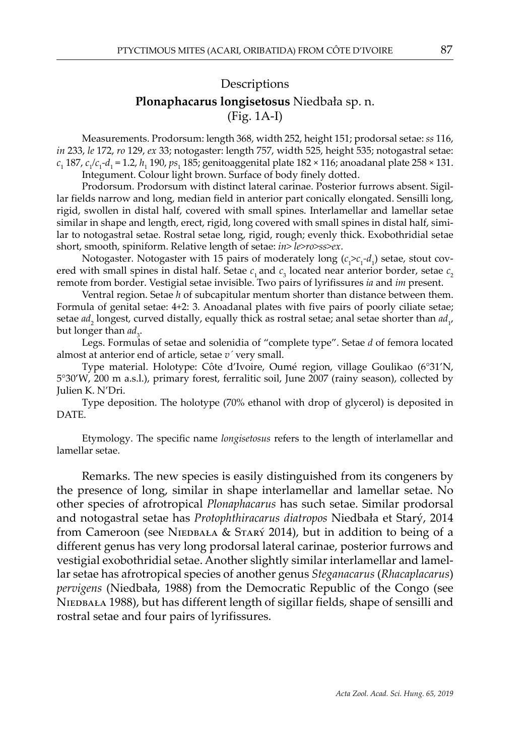# **Descriptions Plonaphacarus longisetosus** Niedbała sp. n. (Fig. 1A-I)

Measurements. Prodorsum: length 368, width 252, height 151; prodorsal setae: *ss* 116, *in* 233, *le* 172, *ro* 129, *ex* 33; notogaster: length 757, width 525, height 535; notogastral setae: *c*1 187, *c*<sup>1</sup> */c*1 *-d*1 = 1.2, *h*<sup>1</sup> 190, *ps*<sup>1</sup> 185; genitoaggenital plate 182 × 116; anoadanal plate 258 × 131. Integument. Colour light brown. Surface of body finely dotted.

Prodorsum. Prodorsum with distinct lateral carinae. Posterior furrows absent. Sigillar fields narrow and long, median field in anterior part conically elongated. Sensilli long, rigid, swollen in distal half, covered with small spines. Interlamellar and lamellar setae similar in shape and length, erect, rigid, long covered with small spines in distal half, similar to notogastral setae. Rostral setae long, rigid, rough; evenly thick. Exobothridial setae short, smooth, spiniform. Relative length of setae: *in> le>ro>ss>ex*.

Notogaster. Notogaster with 15 pairs of moderately long ( $c_1>c_1-d_1$ ) setae, stout covered with small spines in distal half. Setae  $c<sub>1</sub>$  and  $c<sub>3</sub>$  located near anterior border, setae  $c<sub>2</sub>$ remote from border. Vestigial setae invisible. Two pairs of lyrifissures *ia* and *im* present.

Ventral region. Setae *h* of subcapitular mentum shorter than distance between them. Formula of genital setae: 4+2: 3. Anoadanal plates with five pairs of poorly ciliate setae; setae  $ad_2$  longest, curved distally, equally thick as rostral setae; anal setae shorter than  $ad_{1'}$ but longer than *ad*<sub>3</sub>.

Legs. Formulas of setae and solenidia of "complete type". Setae *d* of femora located almost at anterior end of article, setae *v´* very small.

Type material. Holotype: Côte d'Ivoire, Oumé region, village Goulikao (6°31'N, 5°30'W, 200 m a.s.l.), primary forest, ferralitic soil, June 2007 (rainy season), collected by Julien K. N'Dri.

Type deposition. The holotype (70% ethanol with drop of glycerol) is deposited in DATE.

Etymology. The specific name *longisetosus* refers to the length of interlamellar and lamellar setae.

Remarks. The new species is easily distinguished from its congeners by the presence of long, similar in shape interlamellar and lamellar setae. No other species of afrotropical *Plonaphacarus* has such setae. Similar prodorsal and notogastral setae has *Protophthiracarus diatropos* Niedbała et Starý, 2014 from Cameroon (see NIEDBAŁA & STARÝ 2014), but in addition to being of a different genus has very long prodorsal lateral carinae, posterior furrows and vestigial exobothridial setae. Another slightly similar interlamellar and lamellar setae has afrotropical species of another genus *Steganacarus* (*Rhacaplacarus*) *pervigens* (Niedbała, 1988) from the Democratic Republic of the Congo (see NIEDBAŁA 1988), but has different length of sigillar fields, shape of sensilli and rostral setae and four pairs of lyrifissures.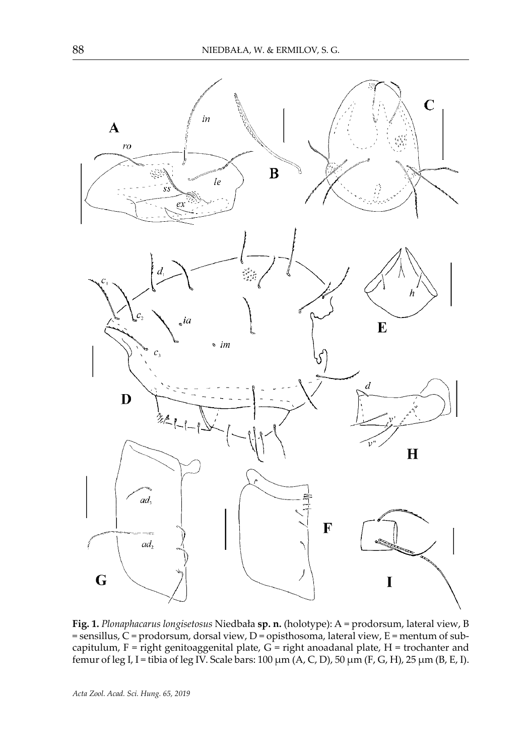

**Fig. 1.** *Plonaphacarus longisetosus* Niedbała **sp. n.** (holotype): A = prodorsum, lateral view, B = sensillus, C = prodorsum, dorsal view, D = opisthosoma, lateral view, E = mentum of subcapitulum, F = right genitoaggenital plate,  $G =$  right anoadanal plate, H = trochanter and femur of leg I, I = tibia of leg IV. Scale bars: 100  $\mu$ m (A, C, D), 50  $\mu$ m (F, G, H), 25  $\mu$ m (B, E, I).

*Acta Zool. Acad. Sci. Hung. 65, 2019*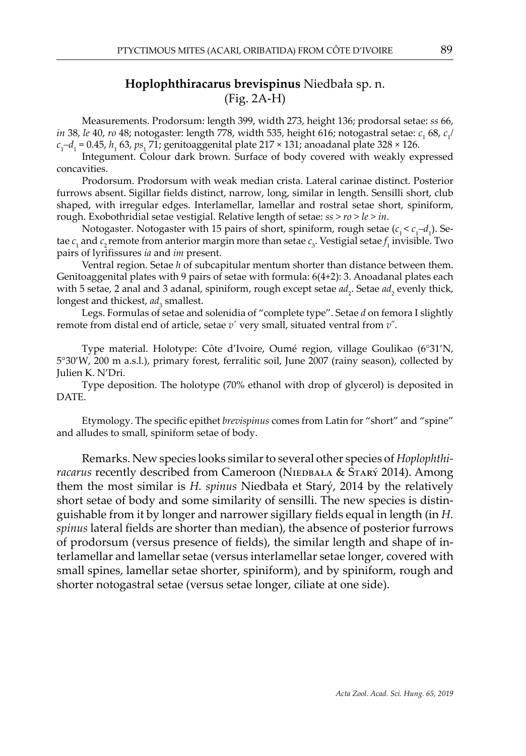## **Hoplophthiracarus brevispinus** Niedbała sp. n. (Fig. 2A-H)

Measurements. Prodorsum: length 399, width 273, height 136; prodorsal setae: *ss* 66, *in 38, le 40, ro 48;* notogaster: length 778, width 535, height 616; notogastral setae:  $c_{_1}$  68,  $c_{_1}$ / *c*1 *–d*<sup>1</sup> = 0.45, *h*<sup>1</sup> 63, *ps*<sup>1</sup> 71; genitoaggenital plate 217 × 131; anoadanal plate 328 × 126.

Integument. Colour dark brown. Surface of body covered with weakly expressed concavities.

Prodorsum. Prodorsum with weak median crista. Lateral carinae distinct. Posterior furrows absent. Sigillar fields distinct, narrow, long, similar in length. Sensilli short, club shaped, with irregular edges. Interlamellar, lamellar and rostral setae short, spiniform, rough. Exobothridial setae vestigial. Relative length of setae: *ss > ro > le > in*.

Notogaster. Notogaster with 15 pairs of short, spiniform, rough setae ( $c_1 < c_1-d_1$ ). Setae  $c_1$  and  $c_2$  remote from anterior margin more than setae  $c_3$ . Vestigial setae  $f_1$  invisible. Two pairs of lyrifissures *ia* and *im* present.

Ventral region. Setae *h* of subcapitular mentum shorter than distance between them. Genitoaggenital plates with 9 pairs of setae with formula: 6(4+2): 3. Anoadanal plates each with 5 setae, 2 anal and 3 adanal, spiniform, rough except setae  $ad_2$ . Setae  $ad_2$  evenly thick, longest and thickest, ad<sub>3</sub> smallest.

Legs. Formulas of setae and solenidia of "complete type". Setae *d* on femora I slightly remote from distal end of article, setae *v*´ very small, situated ventral from *v*˝.

Type material. Holotype: Côte d'Ivoire, Oumé region, village Goulikao (6°31'N, 5°30'W, 200 m a.s.l.), primary forest, ferralitic soil, June 2007 (rainy season), collected by Julien K. N'Dri.

Type deposition. The holotype (70% ethanol with drop of glycerol) is deposited in DATE.

Etymology. The specific epithet *brevispinus* comes from Latin for "short" and "spine" and alludes to small, spiniform setae of body.

Remarks. New species looks similar to several other species of *Hoplophthi*racarus recently described from Cameroon (NIEDBAŁA & STARÝ 2014). Among them the most similar is *H. spinus* Niedbała et Starý, 2014 by the relatively short setae of body and some similarity of sensilli. The new species is distinguishable from it by longer and narrower sigillary fields equal in length (in *H. spinus* lateral fields are shorter than median), the absence of posterior furrows of prodorsum (versus presence of fields), the similar length and shape of interlamellar and lamellar setae (versus interlamellar setae longer, covered with small spines, lamellar setae shorter, spiniform), and by spiniform, rough and shorter notogastral setae (versus setae longer, ciliate at one side).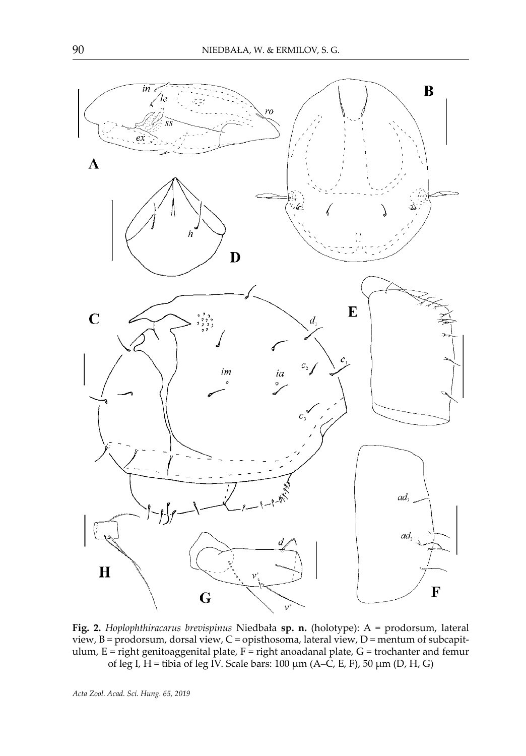

**Fig. 2.** *Hoplophthiracarus brevispinus* Niedbała **sp. n.** (holotype): A = prodorsum, lateral view, B = prodorsum, dorsal view, C = opisthosoma, lateral view, D = mentum of subcapitulum, E = right genitoaggenital plate, F = right anoadanal plate, G = trochanter and femur of leg I,  $H =$  tibia of leg IV. Scale bars: 100  $\mu$ m (A–C, E, F), 50  $\mu$ m (D, H, G)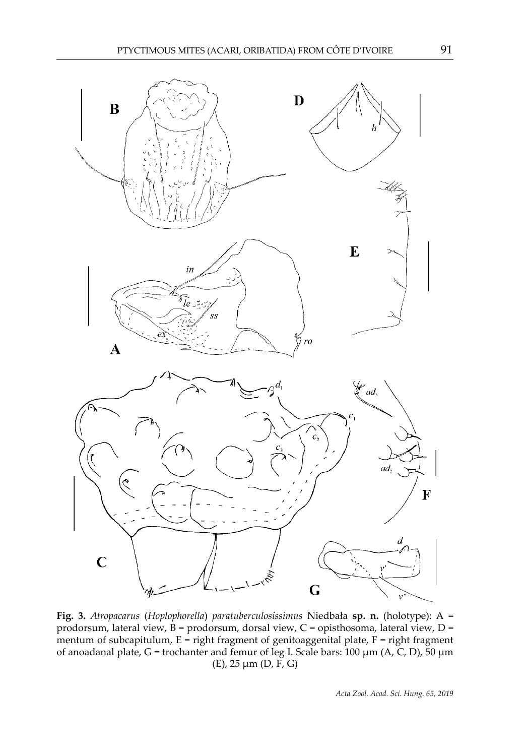

**Fig. 3.** *Atropacarus* (*Hoplophorella*) *paratuberculosissimus* Niedbała **sp. n.** (holotype): A = prodorsum, lateral view, B = prodorsum, dorsal view, C = opisthosoma, lateral view, D = mentum of subcapitulum,  $E = right$  fragment of genitoaggenital plate,  $F = right$  fragment of anoadanal plate,  $G =$  trochanter and femur of leg I. Scale bars: 100  $\mu$ m (A, C, D), 50  $\mu$ m (E),  $25 \mu m$  (D, F, G)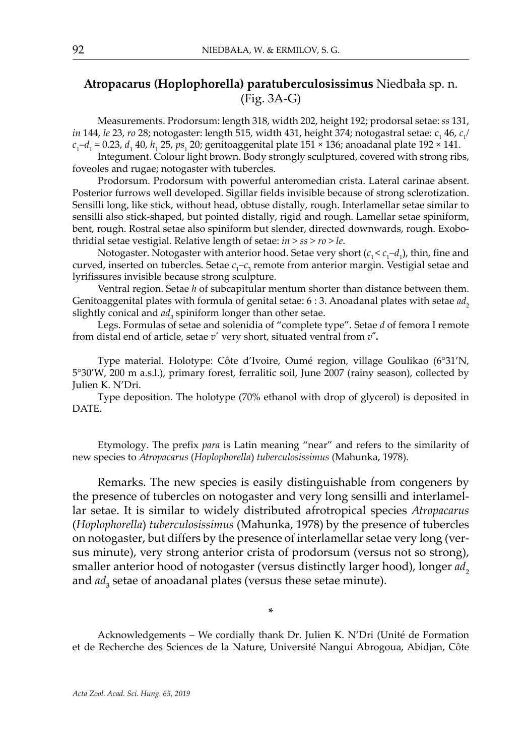## **Atropacarus (Hoplophorella) paratuberculosissimus** Niedbała sp. n. (Fig. 3A-G)

Measurements. Prodorsum: length 318, width 202, height 192; prodorsal setae: *ss* 131, *in 144, le 23, ro 28;* notogaster: length 515, width 431, height 374; notogastral setae: c<sub>1</sub> 46, *c<sub>1</sub> c*1 *–d*<sup>1</sup> = 0.23, *d*<sup>1</sup> 40, *h*<sup>1</sup> 25, *ps*<sup>1</sup> 20; genitoaggenital plate 151 × 136; anoadanal plate 192 × 141.

Integument. Colour light brown. Body strongly sculptured, covered with strong ribs, foveoles and rugae; notogaster with tubercles.

Prodorsum. Prodorsum with powerful anteromedian crista. Lateral carinae absent. Posterior furrows well developed. Sigillar fields invisible because of strong sclerotization. Sensilli long, like stick, without head, obtuse distally, rough. Interlamellar setae similar to sensilli also stick-shaped, but pointed distally, rigid and rough. Lamellar setae spiniform, bent, rough. Rostral setae also spiniform but slender, directed downwards, rough. Exobothridial setae vestigial. Relative length of setae: *in > ss > ro > le*.

Notogaster. Notogaster with anterior hood. Setae very short ( $c_1 < c_1-d_1$ ), thin, fine and curved, inserted on tubercles. Setae  $c_1$ – $c_3$  remote from anterior margin. Vestigial setae and lyrifissures invisible because strong sculpture.

Ventral region. Setae *h* of subcapitular mentum shorter than distance between them. Genitoaggenital plates with formula of genital setae: 6 : 3. Anoadanal plates with setae *ad*<sub>2</sub> slightly conical and  $ad<sub>3</sub>$  spiniform longer than other setae.

Legs. Formulas of setae and solenidia of "complete type". Setae *d* of femora I remote from distal end of article, setae *v***´** very short, situated ventral from *v***˝.**

Type material. Holotype: Côte d'Ivoire, Oumé region, village Goulikao (6°31'N, 5°30'W, 200 m a.s.l.), primary forest, ferralitic soil, June 2007 (rainy season), collected by Julien K. N'Dri.

Type deposition. The holotype (70% ethanol with drop of glycerol) is deposited in DATE.

Etymology. The prefix *para* is Latin meaning "near" and refers to the similarity of new species to *Atropacarus* (*Hoplophorella*) *tuberculosissimus* (Mahunka, 1978).

Remarks. The new species is easily distinguishable from congeners by the presence of tubercles on notogaster and very long sensilli and interlamellar setae. It is similar to widely distributed afrotropical species *Atropacarus*  (*Hoplophorella*) *tuberculosissimus* (Mahunka, 1978) by the presence of tubercles on notogaster, but differs by the presence of interlamellar setae very long (versus minute), very strong anterior crista of prodorsum (versus not so strong), smaller anterior hood of notogaster (versus distinctly larger hood), longer *ad*<sub>2</sub> and  $ad_3$  setae of anoadanal plates (versus these setae minute).

**\***

Acknowledgements – We cordially thank Dr. Julien K. N'Dri (Unité de Formation et de Recherche des Sciences de la Nature, Université Nangui Abrogoua, Abidjan, Côte